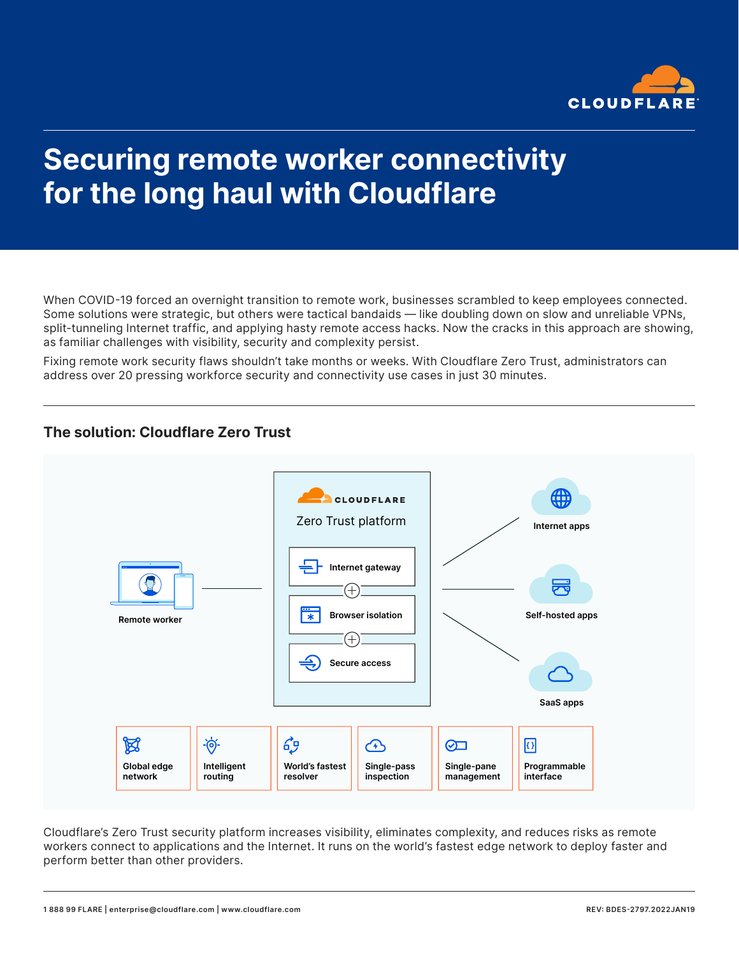

# Securing remote worker connectivity for the long haul with Cloudflare

When COVID-19 forced an overnight transition to remote work, businesses scrambled to keep employees connected. Some solutions were strategic, but others were tactical bandaids — like doubling down on slow and unreliable VPNs, split-tunneling Internet traffic, and applying hasty remote access hacks. Now the cracks in this approach are showing, as familiar challenges with visibility, security and complexity persist.

Fixing remote work security flaws shouldn't take months or weeks. With Cloudflare Zero Trust, administrators can address over 20 pressing workforce security and connectivity use cases in just 30 minutes.

#### The solution: Cloudflare Zero Trust



Cloudflare's Zero Trust security platform increases visibility, eliminates complexity, and reduces risks as remote workers connect to applications and the Internet. It runs on the world's fastest edge network to deploy faster and perform better than other providers.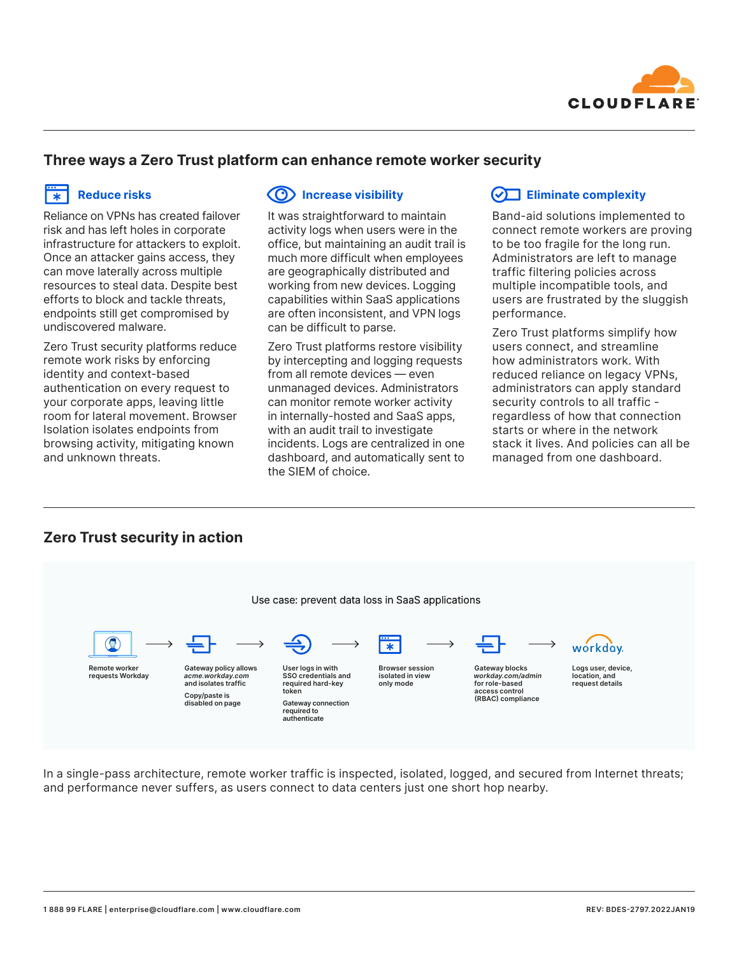

#### Three ways a Zero Trust platform can enhance remote worker security

## $\frac{m}{x}$  Reduce risks

Reliance on VPNs has created failover risk and has left holes in corporate infrastructure for attackers to exploit. Once an attacker gains access, they can move laterally across multiple resources to steal data. Despite best efforts to block and tackle threats, endpoints still get compromised by undiscovered malware.

Zero Trust security platforms reduce remote work risks by enforcing identity and context-based authentication on every request to your corporate apps, leaving little room for lateral movement. Browser Isolation isolates endpoints from browsing activity, mitigating known and unknown threats.

## Increase visibility

It was straightforward to maintain activity logs when users were in the office, but maintaining an audit trail is much more difficult when employees are geographically distributed and working from new devices. Logging capabilities within SaaS applications are often inconsistent, and VPN logs can be difficult to parse.

Zero Trust platforms restore visibility by intercepting and logging requests from all remote devices — even unmanaged devices. Administrators can monitor remote worker activity in internally-hosted and SaaS apps, with an audit trail to investigate incidents. Logs are centralized in one dashboard, and automatically sent to the SIEM of choice.

#### $\sqrt{\phantom{a}}$  Eliminate complexity

Band-aid solutions implemented to connect remote workers are proving to be too fragile for the long run. Administrators are left to manage traffic filtering policies across multiple incompatible tools, and users are frustrated by the sluggish performance.

Zero Trust platforms simplify how users connect, and streamline how administrators work. With reduced reliance on legacy VPNs, administrators can apply standard security controls to all traffic regardless of how that connection starts or where in the network stack it lives. And policies can all be managed from one dashboard.

## Zero Trust security in action



In a single-pass architecture, remote worker traffic is inspected, isolated, logged, and secured from Internet threats; and performance never suffers, as users connect to data centers just one short hop nearby.